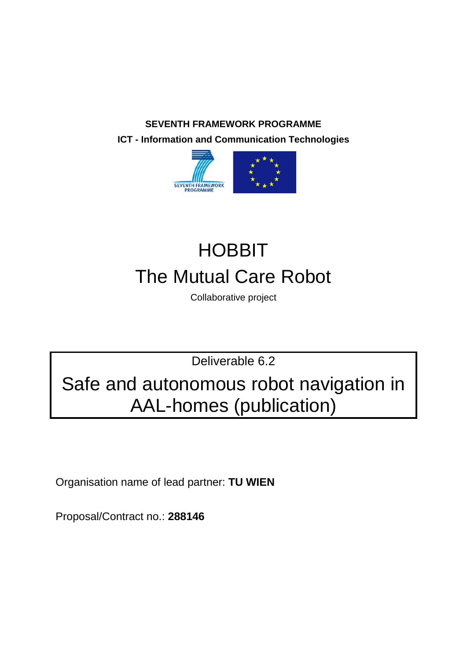**SEVENTH FRAMEWORK PROGRAMME ICT - Information and Communication Technologies**



# **HOBBIT** The Mutual Care Robot

Collaborative project

Deliverable 6.2

Safe and autonomous robot navigation in AAL-homes (publication)

Organisation name of lead partner: **TU WIEN**

Proposal/Contract no.: **288146**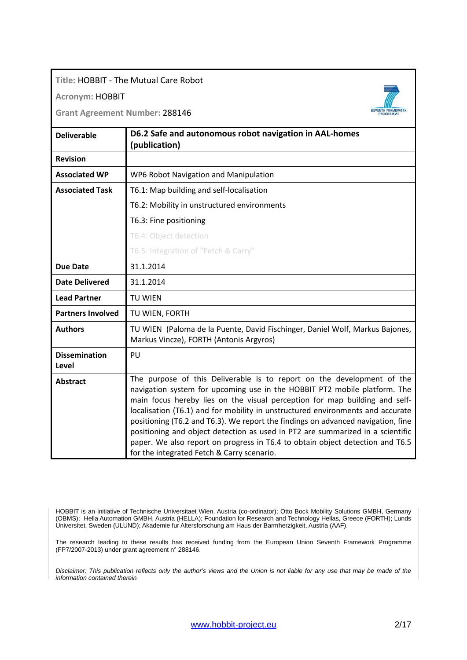### **Title:** HOBBIT - The Mutual Care Robot

### **Acronym:** HOBBIT

**Grant Agreement Number:** 288146

| <b>Deliverable</b>            | D6.2 Safe and autonomous robot navigation in AAL-homes<br>(publication)                                                                                                                                                                                                                                                                                                                                                                                                                                                                                                                                                  |
|-------------------------------|--------------------------------------------------------------------------------------------------------------------------------------------------------------------------------------------------------------------------------------------------------------------------------------------------------------------------------------------------------------------------------------------------------------------------------------------------------------------------------------------------------------------------------------------------------------------------------------------------------------------------|
| <b>Revision</b>               |                                                                                                                                                                                                                                                                                                                                                                                                                                                                                                                                                                                                                          |
| <b>Associated WP</b>          | WP6 Robot Navigation and Manipulation                                                                                                                                                                                                                                                                                                                                                                                                                                                                                                                                                                                    |
| <b>Associated Task</b>        | T6.1: Map building and self-localisation                                                                                                                                                                                                                                                                                                                                                                                                                                                                                                                                                                                 |
|                               | T6.2: Mobility in unstructured environments                                                                                                                                                                                                                                                                                                                                                                                                                                                                                                                                                                              |
|                               | T6.3: Fine positioning                                                                                                                                                                                                                                                                                                                                                                                                                                                                                                                                                                                                   |
|                               | T6.4: Object detection                                                                                                                                                                                                                                                                                                                                                                                                                                                                                                                                                                                                   |
|                               | T6.5: Integration of "Fetch & Carry"                                                                                                                                                                                                                                                                                                                                                                                                                                                                                                                                                                                     |
| <b>Due Date</b>               | 31.1.2014                                                                                                                                                                                                                                                                                                                                                                                                                                                                                                                                                                                                                |
| <b>Date Delivered</b>         | 31.1.2014                                                                                                                                                                                                                                                                                                                                                                                                                                                                                                                                                                                                                |
| <b>Lead Partner</b>           | TU WIEN                                                                                                                                                                                                                                                                                                                                                                                                                                                                                                                                                                                                                  |
| <b>Partners Involved</b>      | TU WIEN, FORTH                                                                                                                                                                                                                                                                                                                                                                                                                                                                                                                                                                                                           |
| <b>Authors</b>                | TU WIEN (Paloma de la Puente, David Fischinger, Daniel Wolf, Markus Bajones,<br>Markus Vincze), FORTH (Antonis Argyros)                                                                                                                                                                                                                                                                                                                                                                                                                                                                                                  |
| <b>Dissemination</b><br>Level | PU                                                                                                                                                                                                                                                                                                                                                                                                                                                                                                                                                                                                                       |
| <b>Abstract</b>               | The purpose of this Deliverable is to report on the development of the<br>navigation system for upcoming use in the HOBBIT PT2 mobile platform. The<br>main focus hereby lies on the visual perception for map building and self-<br>localisation (T6.1) and for mobility in unstructured environments and accurate<br>positioning (T6.2 and T6.3). We report the findings on advanced navigation, fine<br>positioning and object detection as used in PT2 are summarized in a scientific<br>paper. We also report on progress in T6.4 to obtain object detection and T6.5<br>for the integrated Fetch & Carry scenario. |

HOBBIT is an initiative of Technische Universitaet Wien, Austria (co-ordinator); Otto Bock Mobility Solutions GMBH, Germany (OBMS); Hella Automation GMBH, Austria (HELLA); Foundation for Research and Technology Hellas, Greece (FORTH); Lunds Universitet, Sweden (ULUND); Akademie fur Altersforschung am Haus der Barmherzigkeit, Austria (AAF).

The research leading to these results has received funding from the European Union Seventh Framework Programme (FP7/2007-2013) under grant agreement n° 288146.

*Disclaimer: This publication reflects only the author's views and the Union is not liable for any use that may be made of the information contained therein.*

SEVENTH FRAMEWORK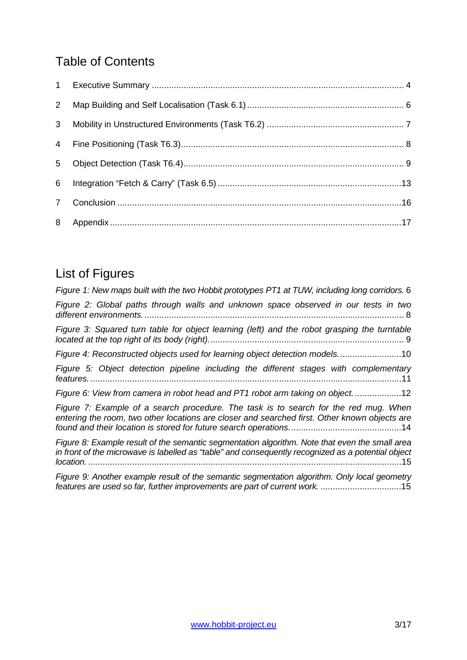# Table of Contents

| $\overline{2}$ |  |
|----------------|--|
| 3 <sup>1</sup> |  |
| $\overline{4}$ |  |
| 5              |  |
| 6              |  |
| $\overline{7}$ |  |
|                |  |

# List of Figures

| Figure 1: New maps built with the two Hobbit prototypes PT1 at TUW, including long corridors. 6                                                                                                                   |
|-------------------------------------------------------------------------------------------------------------------------------------------------------------------------------------------------------------------|
| Figure 2: Global paths through walls and unknown space observed in our tests in two                                                                                                                               |
| Figure 3: Squared turn table for object learning (left) and the robot grasping the turntable                                                                                                                      |
| Figure 4: Reconstructed objects used for learning object detection models10                                                                                                                                       |
| Figure 5: Object detection pipeline including the different stages with complementary                                                                                                                             |
| Figure 6: View from camera in robot head and PT1 robot arm taking on object12                                                                                                                                     |
| Figure 7: Example of a search procedure. The task is to search for the red mug. When<br>entering the room, two other locations are closer and searched first. Other known objects are                             |
| Figure 8: Example result of the semantic segmentation algorithm. Note that even the small area<br>in front of the microwave is labelled as "table" and consequently recognized as a potential object<br>location. |
| Figure 9: Another example result of the semantic segmentation algorithm. Only local geometry<br>features are used so far, further improvements are part of current work. 15                                       |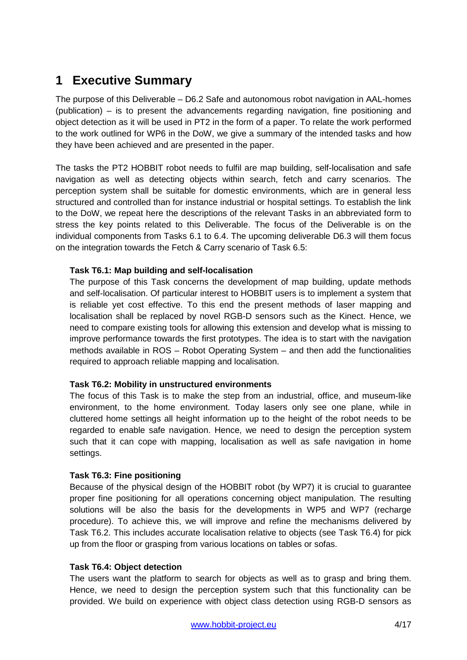### <span id="page-3-0"></span>**1 Executive Summary**

The purpose of this Deliverable – D6.2 Safe and autonomous robot navigation in AAL-homes (publication) – is to present the advancements regarding navigation, fine positioning and object detection as it will be used in PT2 in the form of a paper. To relate the work performed to the work outlined for WP6 in the DoW, we give a summary of the intended tasks and how they have been achieved and are presented in the paper.

The tasks the PT2 HOBBIT robot needs to fulfil are map building, self-localisation and safe navigation as well as detecting objects within search, fetch and carry scenarios. The perception system shall be suitable for domestic environments, which are in general less structured and controlled than for instance industrial or hospital settings. To establish the link to the DoW, we repeat here the descriptions of the relevant Tasks in an abbreviated form to stress the key points related to this Deliverable. The focus of the Deliverable is on the individual components from Tasks 6.1 to 6.4. The upcoming deliverable D6.3 will them focus on the integration towards the Fetch & Carry scenario of Task 6.5:

### **Task T6.1: Map building and self-localisation**

The purpose of this Task concerns the development of map building, update methods and self-localisation. Of particular interest to HOBBIT users is to implement a system that is reliable yet cost effective. To this end the present methods of laser mapping and localisation shall be replaced by novel RGB-D sensors such as the Kinect. Hence, we need to compare existing tools for allowing this extension and develop what is missing to improve performance towards the first prototypes. The idea is to start with the navigation methods available in ROS – Robot Operating System – and then add the functionalities required to approach reliable mapping and localisation.

### **Task T6.2: Mobility in unstructured environments**

The focus of this Task is to make the step from an industrial, office, and museum-like environment, to the home environment. Today lasers only see one plane, while in cluttered home settings all height information up to the height of the robot needs to be regarded to enable safe navigation. Hence, we need to design the perception system such that it can cope with mapping, localisation as well as safe navigation in home settings.

### **Task T6.3: Fine positioning**

Because of the physical design of the HOBBIT robot (by WP7) it is crucial to guarantee proper fine positioning for all operations concerning object manipulation. The resulting solutions will be also the basis for the developments in WP5 and WP7 (recharge procedure). To achieve this, we will improve and refine the mechanisms delivered by Task T6.2. This includes accurate localisation relative to objects (see Task T6.4) for pick up from the floor or grasping from various locations on tables or sofas.

### **Task T6.4: Object detection**

The users want the platform to search for objects as well as to grasp and bring them. Hence, we need to design the perception system such that this functionality can be provided. We build on experience with object class detection using RGB-D sensors as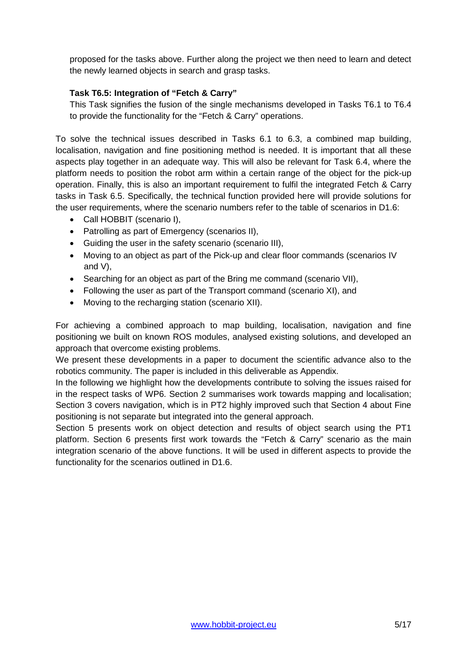proposed for the tasks above. Further along the project we then need to learn and detect the newly learned objects in search and grasp tasks.

### **Task T6.5: Integration of "Fetch & Carry"**

This Task signifies the fusion of the single mechanisms developed in Tasks T6.1 to T6.4 to provide the functionality for the "Fetch & Carry" operations.

To solve the technical issues described in Tasks 6.1 to 6.3, a combined map building, localisation, navigation and fine positioning method is needed. It is important that all these aspects play together in an adequate way. This will also be relevant for Task 6.4, where the platform needs to position the robot arm within a certain range of the object for the pick-up operation. Finally, this is also an important requirement to fulfil the integrated Fetch & Carry tasks in Task 6.5. Specifically, the technical function provided here will provide solutions for the user requirements, where the scenario numbers refer to the table of scenarios in D1.6:

- Call HOBBIT (scenario I),
- Patrolling as part of Emergency (scenarios II),
- Guiding the user in the safety scenario (scenario III),
- Moving to an object as part of the Pick-up and clear floor commands (scenarios IV and V),
- Searching for an object as part of the Bring me command (scenario VII),
- Following the user as part of the Transport command (scenario XI), and
- Moving to the recharging station (scenario XII).

For achieving a combined approach to map building, localisation, navigation and fine positioning we built on known ROS modules, analysed existing solutions, and developed an approach that overcome existing problems.

We present these developments in a paper to document the scientific advance also to the robotics community. The paper is included in this deliverable as Appendix.

In the following we highlight how the developments contribute to solving the issues raised for in the respect tasks of WP6. Section 2 summarises work towards mapping and localisation; Section 3 covers navigation, which is in PT2 highly improved such that Section 4 about Fine positioning is not separate but integrated into the general approach.

Section 5 presents work on object detection and results of object search using the PT1 platform. Section 6 presents first work towards the "Fetch & Carry" scenario as the main integration scenario of the above functions. It will be used in different aspects to provide the functionality for the scenarios outlined in D1.6.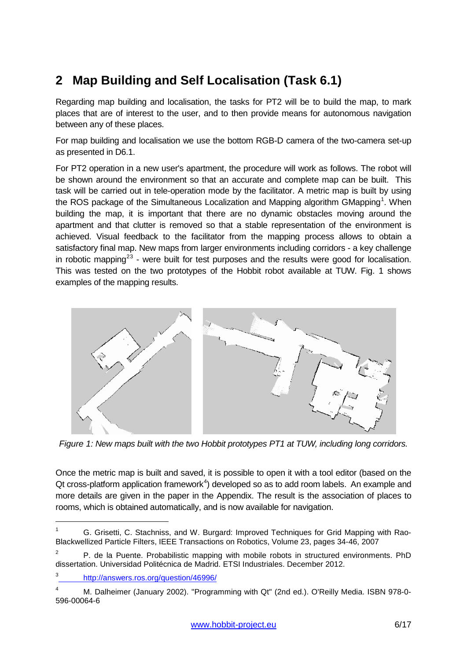# <span id="page-5-0"></span>**2 Map Building and Self Localisation (Task 6.1)**

Regarding map building and localisation, the tasks for PT2 will be to build the map, to mark places that are of interest to the user, and to then provide means for autonomous navigation between any of these places.

For map building and localisation we use the bottom RGB-D camera of the two-camera set-up as presented in D6.1.

For PT2 operation in a new user's apartment, the procedure will work as follows. The robot will be shown around the environment so that an accurate and complete map can be built. This task will be carried out in tele-operation mode by the facilitator. A metric map is built by using the ROS package of the Simultaneous Localization and Mapping algorithm GMapping<sup>[1](#page-5-2)</sup>. When building the map, it is important that there are no dynamic obstacles moving around the apartment and that clutter is removed so that a stable representation of the environment is achieved. Visual feedback to the facilitator from the mapping process allows to obtain a satisfactory final map. New maps from larger environments including corridors - a key challenge in robotic mapping<sup>[2](#page-5-3)[3](#page-5-4)</sup> - were built for test purposes and the results were good for localisation. This was tested on the two prototypes of the Hobbit robot available at TUW. Fig. 1 shows examples of the mapping results.



<span id="page-5-1"></span>*Figure 1: New maps built with the two Hobbit prototypes PT1 at TUW, including long corridors.*

Once the metric map is built and saved, it is possible to open it with a tool editor (based on the Qt cross-platform application framework $4$ ) developed so as to add room labels. An example and more details are given in the paper in the Appendix. The result is the association of places to rooms, which is obtained automatically, and is now available for navigation.

<span id="page-5-2"></span><sup>&</sup>lt;sup>1</sup> G. Grisetti, C. Stachniss, and W. Burgard: Improved Techniques for Grid Mapping with Rao-Blackwellized Particle Filters, IEEE Transactions on Robotics, Volume 23, pages 34-46, 2007

<span id="page-5-3"></span><sup>&</sup>lt;sup>2</sup> P. de la Puente. Probabilistic mapping with mobile robots in structured environments. PhD dissertation. Universidad Politécnica de Madrid. ETSI Industriales. December 2012.

<span id="page-5-4"></span><sup>3</sup> <http://answers.ros.org/question/46996/>

<span id="page-5-5"></span><sup>4</sup> M. Dalheimer (January 2002). "Programming with Qt" (2nd ed.). O'Reilly Media. ISBN 978-0- 596-00064-6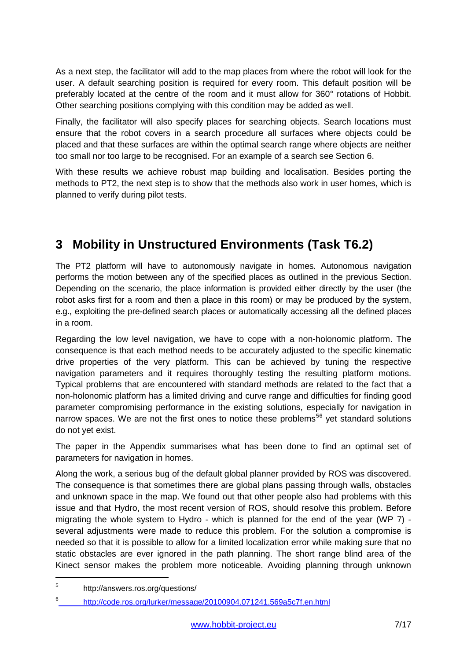As a next step, the facilitator will add to the map places from where the robot will look for the user. A default searching position is required for every room. This default position will be preferably located at the centre of the room and it must allow for 360° rotations of Hobbit. Other searching positions complying with this condition may be added as well.

Finally, the facilitator will also specify places for searching objects. Search locations must ensure that the robot covers in a search procedure all surfaces where objects could be placed and that these surfaces are within the optimal search range where objects are neither too small nor too large to be recognised. For an example of a search see Section 6.

With these results we achieve robust map building and localisation. Besides porting the methods to PT2, the next step is to show that the methods also work in user homes, which is planned to verify during pilot tests.

# <span id="page-6-0"></span>**3 Mobility in Unstructured Environments (Task T6.2)**

The PT2 platform will have to autonomously navigate in homes. Autonomous navigation performs the motion between any of the specified places as outlined in the previous Section. Depending on the scenario, the place information is provided either directly by the user (the robot asks first for a room and then a place in this room) or may be produced by the system, e.g., exploiting the pre-defined search places or automatically accessing all the defined places in a room.

Regarding the low level navigation, we have to cope with a non-holonomic platform. The consequence is that each method needs to be accurately adjusted to the specific kinematic drive properties of the very platform. This can be achieved by tuning the respective navigation parameters and it requires thoroughly testing the resulting platform motions. Typical problems that are encountered with standard methods are related to the fact that a non-holonomic platform has a limited driving and curve range and difficulties for finding good parameter compromising performance in the existing solutions, especially for navigation in narrow spaces. We are not the first ones to notice these problems<sup>[5](#page-6-1)[6](#page-6-2)</sup> yet standard solutions do not yet exist.

The paper in the Appendix summarises what has been done to find an optimal set of parameters for navigation in homes.

Along the work, a serious bug of the default global planner provided by ROS was discovered. The consequence is that sometimes there are global plans passing through walls, obstacles and unknown space in the map. We found out that other people also had problems with this issue and that Hydro, the most recent version of ROS, should resolve this problem. Before migrating the whole system to Hydro - which is planned for the end of the year (WP 7) several adjustments were made to reduce this problem. For the solution a compromise is needed so that it is possible to allow for a limited localization error while making sure that no static obstacles are ever ignored in the path planning. The short range blind area of the Kinect sensor makes the problem more noticeable. Avoiding planning through unknown

<span id="page-6-1"></span><sup>5</sup> http://answers.ros.org/questions/

<span id="page-6-2"></span><sup>6</sup> <http://code.ros.org/lurker/message/20100904.071241.569a5c7f.en.html>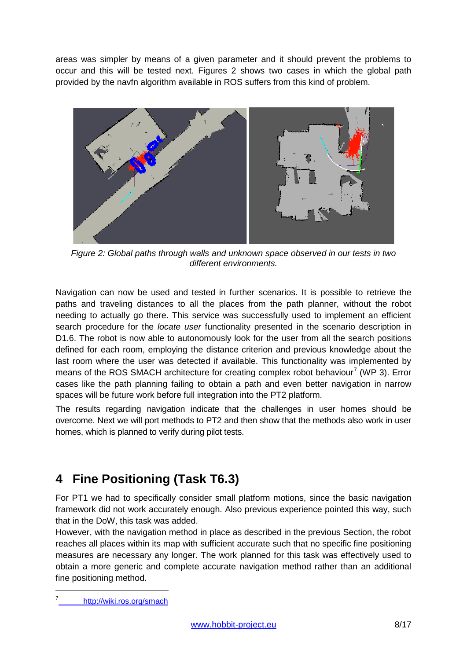areas was simpler by means of a given parameter and it should prevent the problems to occur and this will be tested next. Figures 2 shows two cases in which the global path provided by the navfn algorithm available in ROS suffers from this kind of problem.



*Figure 2: Global paths through walls and unknown space observed in our tests in two different environments.* 

<span id="page-7-1"></span>Navigation can now be used and tested in further scenarios. It is possible to retrieve the paths and traveling distances to all the places from the path planner, without the robot needing to actually go there. This service was successfully used to implement an efficient search procedure for the *locate user* functionality presented in the scenario description in D1.6. The robot is now able to autonomously look for the user from all the search positions defined for each room, employing the distance criterion and previous knowledge about the last room where the user was detected if available. This functionality was implemented by means of the ROS SMACH architecture for creating complex robot behaviour<sup>[7](#page-7-2)</sup> (WP 3). Error cases like the path planning failing to obtain a path and even better navigation in narrow spaces will be future work before full integration into the PT2 platform.

The results regarding navigation indicate that the challenges in user homes should be overcome. Next we will port methods to PT2 and then show that the methods also work in user homes, which is planned to verify during pilot tests.

# <span id="page-7-0"></span>**4 Fine Positioning (Task T6.3)**

For PT1 we had to specifically consider small platform motions, since the basic navigation framework did not work accurately enough. Also previous experience pointed this way, such that in the DoW, this task was added.

However, with the navigation method in place as described in the previous Section, the robot reaches all places within its map with sufficient accurate such that no specific fine positioning measures are necessary any longer. The work planned for this task was effectively used to obtain a more generic and complete accurate navigation method rather than an additional fine positioning method.

<span id="page-7-2"></span><http://wiki.ros.org/smach>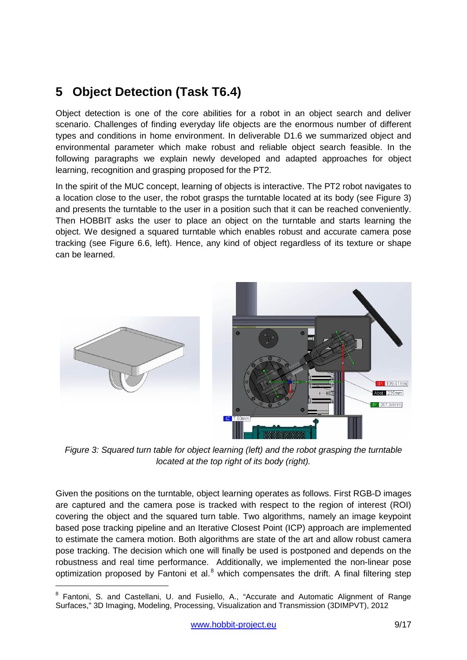## <span id="page-8-0"></span>**5 Object Detection (Task T6.4)**

Object detection is one of the core abilities for a robot in an object search and deliver scenario. Challenges of finding everyday life objects are the enormous number of different types and conditions in home environment. In deliverable D1.6 we summarized object and environmental parameter which make robust and reliable object search feasible. In the following paragraphs we explain newly developed and adapted approaches for object learning, recognition and grasping proposed for the PT2.

In the spirit of the MUC concept, learning of objects is interactive. The PT2 robot navigates to a location close to the user, the robot grasps the turntable located at its body (see Figure 3) and presents the turntable to the user in a position such that it can be reached conveniently. Then HOBBIT asks the user to place an object on the turntable and starts learning the object. We designed a squared turntable which enables robust and accurate camera pose tracking (see Figure 6.6, left). Hence, any kind of object regardless of its texture or shape can be learned.



*Figure 3: Squared turn table for object learning (left) and the robot grasping the turntable located at the top right of its body (right).*

<span id="page-8-1"></span>Given the positions on the turntable, object learning operates as follows. First RGB-D images are captured and the camera pose is tracked with respect to the region of interest (ROI) covering the object and the squared turn table. Two algorithms, namely an image keypoint based pose tracking pipeline and an Iterative Closest Point (ICP) approach are implemented to estimate the camera motion. Both algorithms are state of the art and allow robust camera pose tracking. The decision which one will finally be used is postponed and depends on the robustness and real time performance. Additionally, we implemented the non-linear pose optimization proposed by Fantoni et al. $8$  which compensates the drift. A final filtering step

<span id="page-8-2"></span> $8$  Fantoni, S. and Castellani, U. and Fusiello, A., "Accurate and Automatic Alignment of Range Surfaces," 3D Imaging, Modeling, Processing, Visualization and Transmission (3DIMPVT), 2012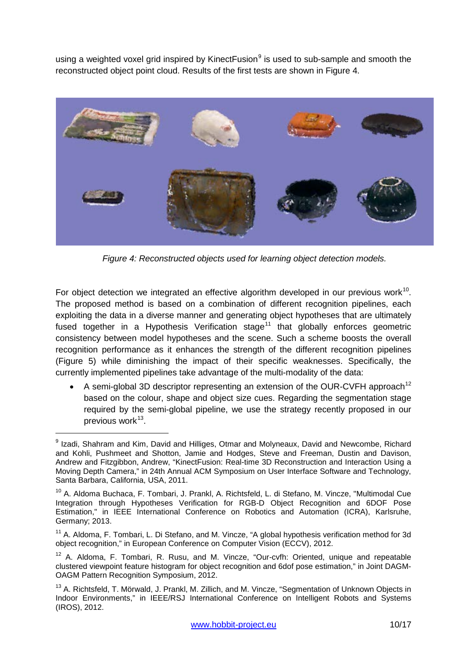using a weighted voxel grid inspired by Kinect Fusion<sup>[9](#page-9-1)</sup> is used to sub-sample and smooth the reconstructed object point cloud. Results of the first tests are shown in Figure 4.



*Figure 4: Reconstructed objects used for learning object detection models.*

<span id="page-9-0"></span>For object detection we integrated an effective algorithm developed in our previous work<sup>[10](#page-9-2)</sup>. The proposed method is based on a combination of different recognition pipelines, each exploiting the data in a diverse manner and generating object hypotheses that are ultimately fused together in a Hypothesis Verification stage<sup>[11](#page-9-3)</sup> that globally enforces geometric consistency between model hypotheses and the scene. Such a scheme boosts the overall recognition performance as it enhances the strength of the different recognition pipelines (Figure 5) while diminishing the impact of their specific weaknesses. Specifically, the currently implemented pipelines take advantage of the multi-modality of the data:

• A semi-global 3D descriptor representing an extension of the OUR-CVFH approach<sup>[12](#page-9-4)</sup> based on the colour, shape and object size cues. Regarding the segmentation stage required by the semi-global pipeline, we use the strategy recently proposed in our previous work $13$ .

<span id="page-9-1"></span> $9$  Izadi, Shahram and Kim, David and Hilliges, Otmar and Molyneaux, David and Newcombe, Richard and Kohli, Pushmeet and Shotton, Jamie and Hodges, Steve and Freeman, Dustin and Davison, Andrew and Fitzgibbon, Andrew, "KinectFusion: Real-time 3D Reconstruction and Interaction Using a Moving Depth Camera," in 24th Annual ACM Symposium on User Interface Software and Technology, Santa Barbara, California, USA, 2011.

<span id="page-9-2"></span><sup>&</sup>lt;sup>10</sup> A. Aldoma Buchaca, F. Tombari, J. Prankl, A. Richtsfeld, L. di Stefano, M. Vincze, "Multimodal Cue Integration through Hypotheses Verification for RGB-D Object Recognition and 6DOF Pose Estimation," in IEEE International Conference on Robotics and Automation (ICRA), Karlsruhe, Germany; 2013.

<span id="page-9-3"></span><sup>&</sup>lt;sup>11</sup> A. Aldoma, F. Tombari, L. Di Stefano, and M. Vincze, "A global hypothesis verification method for 3d object recognition," in European Conference on Computer Vision (ECCV), 2012.

<span id="page-9-4"></span> $12$  A. Aldoma, F. Tombari, R. Rusu, and M. Vincze, "Our-cvfh: Oriented, unique and repeatable clustered viewpoint feature histogram for object recognition and 6dof pose estimation," in Joint DAGM-OAGM Pattern Recognition Symposium, 2012.

<span id="page-9-5"></span><sup>&</sup>lt;sup>13</sup> A. Richtsfeld, T. Mörwald, J. Prankl, M. Zillich, and M. Vincze, "Segmentation of Unknown Objects in Indoor Environments," in IEEE/RSJ International Conference on Intelligent Robots and Systems (IROS), 2012.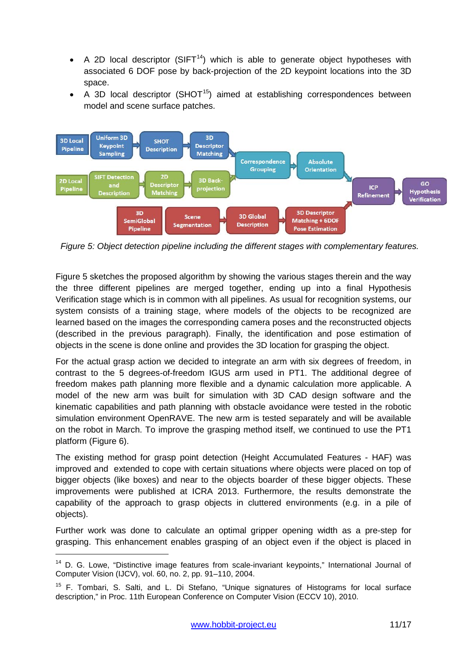- A 2D local descriptor (SIFT<sup>14</sup>) which is able to generate object hypotheses with associated 6 DOF pose by back-projection of the 2D keypoint locations into the 3D space.
- A 3D local descriptor (SHOT<sup>[15](#page-10-2)</sup>) aimed at establishing correspondences between model and scene surface patches.



<span id="page-10-0"></span>*Figure 5: Object detection pipeline including the different stages with complementary features.*

Figure 5 sketches the proposed algorithm by showing the various stages therein and the way the three different pipelines are merged together, ending up into a final Hypothesis Verification stage which is in common with all pipelines. As usual for recognition systems, our system consists of a training stage, where models of the objects to be recognized are learned based on the images the corresponding camera poses and the reconstructed objects (described in the previous paragraph). Finally, the identification and pose estimation of objects in the scene is done online and provides the 3D location for grasping the object.

For the actual grasp action we decided to integrate an arm with six degrees of freedom, in contrast to the 5 degrees-of-freedom IGUS arm used in PT1. The additional degree of freedom makes path planning more flexible and a dynamic calculation more applicable. A model of the new arm was built for simulation with 3D CAD design software and the kinematic capabilities and path planning with obstacle avoidance were tested in the robotic simulation environment OpenRAVE. The new arm is tested separately and will be available on the robot in March. To improve the grasping method itself, we continued to use the PT1 platform (Figure 6).

The existing method for grasp point detection (Height Accumulated Features - HAF) was improved and extended to cope with certain situations where objects were placed on top of bigger objects (like boxes) and near to the objects boarder of these bigger objects. These improvements were published at ICRA 2013. Furthermore, the results demonstrate the capability of the approach to grasp objects in cluttered environments (e.g. in a pile of objects).

Further work was done to calculate an optimal gripper opening width as a pre-step for grasping. This enhancement enables grasping of an object even if the object is placed in

<span id="page-10-1"></span><sup>&</sup>lt;sup>14</sup> D. G. Lowe, "Distinctive image features from scale-invariant keypoints," International Journal of Computer Vision (IJCV), vol. 60, no. 2, pp. 91–110, 2004.

<span id="page-10-2"></span><sup>&</sup>lt;sup>15</sup> F. Tombari, S. Salti, and L. Di Stefano, "Unique signatures of Histograms for local surface description," in Proc. 11th European Conference on Computer Vision (ECCV 10), 2010.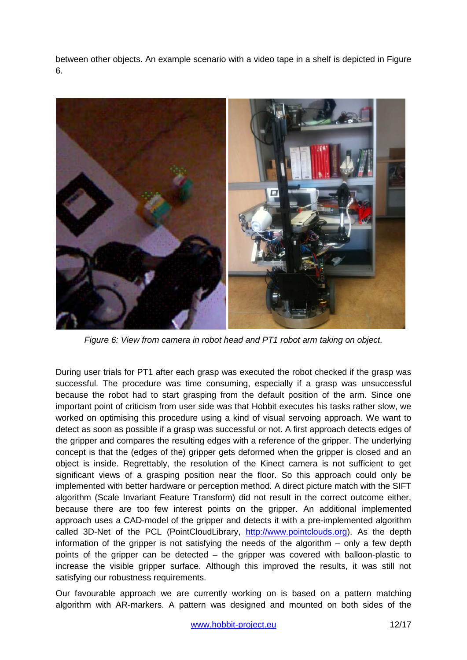between other objects. An example scenario with a video tape in a shelf is depicted in Figure 6.



*Figure 6: View from camera in robot head and PT1 robot arm taking on object.* 

<span id="page-11-0"></span>During user trials for PT1 after each grasp was executed the robot checked if the grasp was successful. The procedure was time consuming, especially if a grasp was unsuccessful because the robot had to start grasping from the default position of the arm. Since one important point of criticism from user side was that Hobbit executes his tasks rather slow, we worked on optimising this procedure using a kind of visual servoing approach. We want to detect as soon as possible if a grasp was successful or not. A first approach detects edges of the gripper and compares the resulting edges with a reference of the gripper. The underlying concept is that the (edges of the) gripper gets deformed when the gripper is closed and an object is inside. Regrettably, the resolution of the Kinect camera is not sufficient to get significant views of a grasping position near the floor. So this approach could only be implemented with better hardware or perception method. A direct picture match with the SIFT algorithm (Scale Invariant Feature Transform) did not result in the correct outcome either, because there are too few interest points on the gripper. An additional implemented approach uses a CAD-model of the gripper and detects it with a pre-implemented algorithm called 3D-Net of the PCL (PointCloudLibrary, [http://www.pointclouds.org\)](http://www.pointclouds.org/). As the depth information of the gripper is not satisfying the needs of the algorithm – only a few depth points of the gripper can be detected – the gripper was covered with balloon-plastic to increase the visible gripper surface. Although this improved the results, it was still not satisfying our robustness requirements.

Our favourable approach we are currently working on is based on a pattern matching algorithm with AR-markers. A pattern was designed and mounted on both sides of the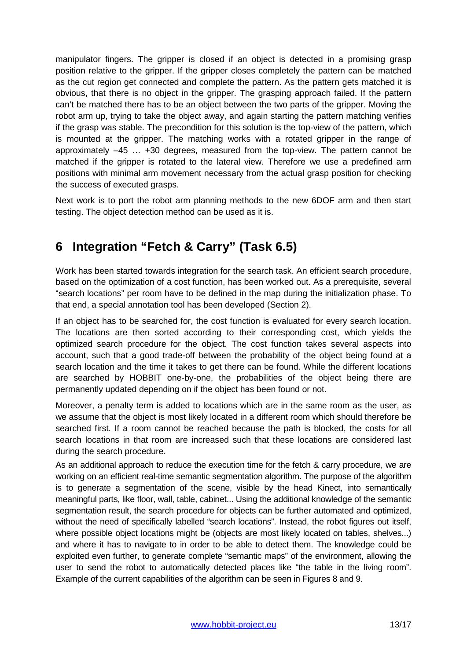manipulator fingers. The gripper is closed if an object is detected in a promising grasp position relative to the gripper. If the gripper closes completely the pattern can be matched as the cut region get connected and complete the pattern. As the pattern gets matched it is obvious, that there is no object in the gripper. The grasping approach failed. If the pattern can't be matched there has to be an object between the two parts of the gripper. Moving the robot arm up, trying to take the object away, and again starting the pattern matching verifies if the grasp was stable. The precondition for this solution is the top-view of the pattern, which is mounted at the gripper. The matching works with a rotated gripper in the range of approximately –45 … +30 degrees, measured from the top-view. The pattern cannot be matched if the gripper is rotated to the lateral view. Therefore we use a predefined arm positions with minimal arm movement necessary from the actual grasp position for checking the success of executed grasps.

Next work is to port the robot arm planning methods to the new 6DOF arm and then start testing. The object detection method can be used as it is.

## <span id="page-12-0"></span>**6 Integration "Fetch & Carry" (Task 6.5)**

Work has been started towards integration for the search task. An efficient search procedure, based on the optimization of a cost function, has been worked out. As a prerequisite, several "search locations" per room have to be defined in the map during the initialization phase. To that end, a special annotation tool has been developed (Section 2).

If an object has to be searched for, the cost function is evaluated for every search location. The locations are then sorted according to their corresponding cost, which yields the optimized search procedure for the object. The cost function takes several aspects into account, such that a good trade-off between the probability of the object being found at a search location and the time it takes to get there can be found. While the different locations are searched by HOBBIT one-by-one, the probabilities of the object being there are permanently updated depending on if the object has been found or not.

Moreover, a penalty term is added to locations which are in the same room as the user, as we assume that the object is most likely located in a different room which should therefore be searched first. If a room cannot be reached because the path is blocked, the costs for all search locations in that room are increased such that these locations are considered last during the search procedure.

As an additional approach to reduce the execution time for the fetch & carry procedure, we are working on an efficient real-time semantic segmentation algorithm. The purpose of the algorithm is to generate a segmentation of the scene, visible by the head Kinect, into semantically meaningful parts, like floor, wall, table, cabinet... Using the additional knowledge of the semantic segmentation result, the search procedure for objects can be further automated and optimized, without the need of specifically labelled "search locations". Instead, the robot figures out itself, where possible object locations might be (objects are most likely located on tables, shelves...) and where it has to navigate to in order to be able to detect them. The knowledge could be exploited even further, to generate complete "semantic maps" of the environment, allowing the user to send the robot to automatically detected places like "the table in the living room". Example of the current capabilities of the algorithm can be seen in Figures 8 and 9.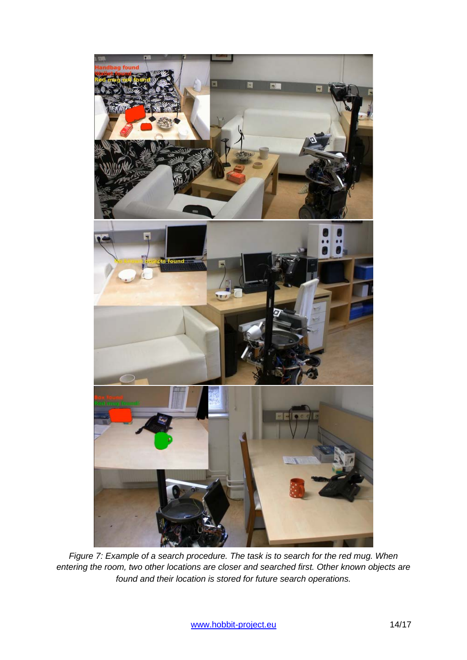<span id="page-13-0"></span>

*Figure 7: Example of a search procedure. The task is to search for the red mug. When entering the room, two other locations are closer and searched first. Other known objects are found and their location is stored for future search operations.*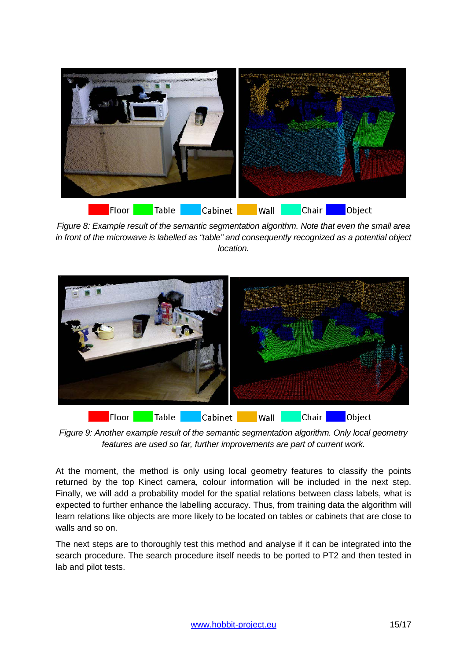

*Figure 8: Example result of the semantic segmentation algorithm. Note that even the small area in front of the microwave is labelled as "table" and consequently recognized as a potential object location.*

<span id="page-14-0"></span>

*Figure 9: Another example result of the semantic segmentation algorithm. Only local geometry features are used so far, further improvements are part of current work.*

<span id="page-14-1"></span>At the moment, the method is only using local geometry features to classify the points returned by the top Kinect camera, colour information will be included in the next step. Finally, we will add a probability model for the spatial relations between class labels, what is expected to further enhance the labelling accuracy. Thus, from training data the algorithm will learn relations like objects are more likely to be located on tables or cabinets that are close to walls and so on.

The next steps are to thoroughly test this method and analyse if it can be integrated into the search procedure. The search procedure itself needs to be ported to PT2 and then tested in lab and pilot tests.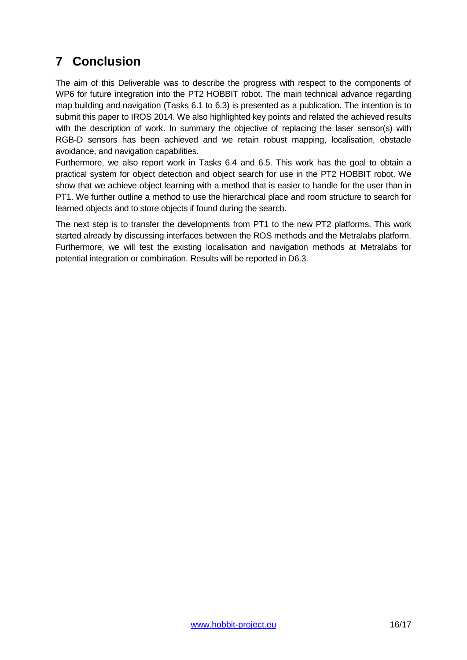# <span id="page-15-0"></span>**7 Conclusion**

The aim of this Deliverable was to describe the progress with respect to the components of WP6 for future integration into the PT2 HOBBIT robot. The main technical advance regarding map building and navigation (Tasks 6.1 to 6.3) is presented as a publication. The intention is to submit this paper to IROS 2014. We also highlighted key points and related the achieved results with the description of work. In summary the objective of replacing the laser sensor(s) with RGB-D sensors has been achieved and we retain robust mapping, localisation, obstacle avoidance, and navigation capabilities.

Furthermore, we also report work in Tasks 6.4 and 6.5. This work has the goal to obtain a practical system for object detection and object search for use in the PT2 HOBBIT robot. We show that we achieve object learning with a method that is easier to handle for the user than in PT1. We further outline a method to use the hierarchical place and room structure to search for learned objects and to store objects if found during the search.

The next step is to transfer the developments from PT1 to the new PT2 platforms. This work started already by discussing interfaces between the ROS methods and the Metralabs platform. Furthermore, we will test the existing localisation and navigation methods at Metralabs for potential integration or combination. Results will be reported in D6.3.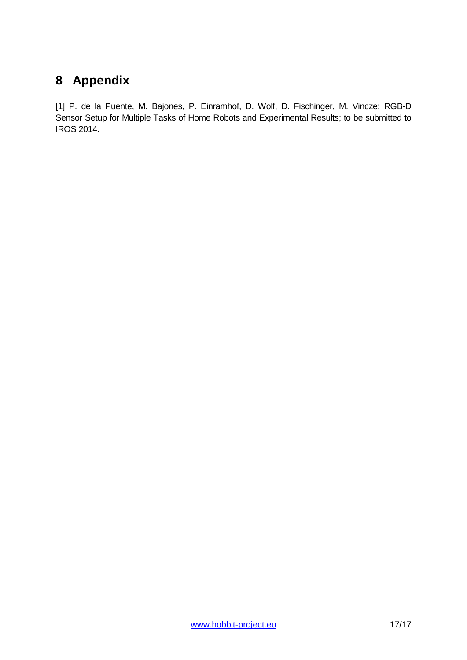## <span id="page-16-0"></span>**8 Appendix**

[1] P. de la Puente, M. Bajones, P. Einramhof, D. Wolf, D. Fischinger, M. Vincze: RGB-D Sensor Setup for Multiple Tasks of Home Robots and Experimental Results; to be submitted to IROS 2014.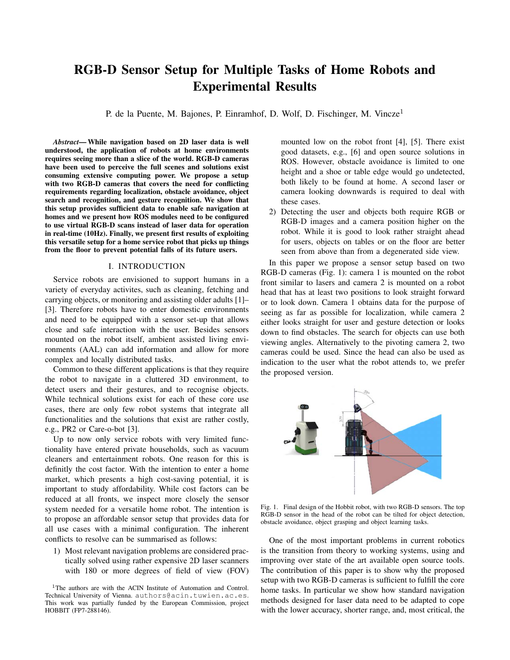### RGB-D Sensor Setup for Multiple Tasks of Home Robots and Experimental Results

P. de la Puente, M. Bajones, P. Einramhof, D. Wolf, D. Fischinger, M. Vincze<sup>1</sup>

*Abstract*— While navigation based on 2D laser data is well understood, the application of robots at home environments requires seeing more than a slice of the world. RGB-D cameras have been used to perceive the full scenes and solutions exist consuming extensive computing power. We propose a setup with two RGB-D cameras that covers the need for conflicting requirements regarding localization, obstacle avoidance, object search and recognition, and gesture recognition. We show that this setup provides sufficient data to enable safe navigation at homes and we present how ROS modules need to be configured to use virtual RGB-D scans instead of laser data for operation in real-time (10Hz). Finally, we present first results of exploiting this versatile setup for a home service robot that picks up things from the floor to prevent potential falls of its future users.

#### I. INTRODUCTION

Service robots are envisioned to support humans in a variety of everyday activites, such as cleaning, fetching and carrying objects, or monitoring and assisting older adults [1]– [3]. Therefore robots have to enter domestic environments and need to be equipped with a sensor set-up that allows close and safe interaction with the user. Besides sensors mounted on the robot itself, ambient assisted living environments (AAL) can add information and allow for more complex and locally distributed tasks.

Common to these different applications is that they require the robot to navigate in a cluttered 3D environment, to detect users and their gestures, and to recognise objects. While technical solutions exist for each of these core use cases, there are only few robot systems that integrate all functionalities and the solutions that exist are rather costly, e.g., PR2 or Care-o-bot [3].

Up to now only service robots with very limited functionality have entered private households, such as vacuum cleaners and entertainment robots. One reason for this is definitly the cost factor. With the intention to enter a home market, which presents a high cost-saving potential, it is important to study affordability. While cost factors can be reduced at all fronts, we inspect more closely the sensor system needed for a versatile home robot. The intention is to propose an affordable sensor setup that provides data for all use cases with a minimal configuration. The inherent conflicts to resolve can be summarised as follows:

1) Most relevant navigation problems are considered practically solved using rather expensive 2D laser scanners with 180 or more degrees of field of view (FOV) mounted low on the robot front [4], [5]. There exist good datasets, e.g., [6] and open source solutions in ROS. However, obstacle avoidance is limited to one height and a shoe or table edge would go undetected, both likely to be found at home. A second laser or camera looking downwards is required to deal with these cases.

2) Detecting the user and objects both require RGB or RGB-D images and a camera position higher on the robot. While it is good to look rather straight ahead for users, objects on tables or on the floor are better seen from above than from a degenerated side view.

In this paper we propose a sensor setup based on two RGB-D cameras (Fig. 1): camera 1 is mounted on the robot front similar to lasers and camera 2 is mounted on a robot head that has at least two positions to look straight forward or to look down. Camera 1 obtains data for the purpose of seeing as far as possible for localization, while camera 2 either looks straight for user and gesture detection or looks down to find obstacles. The search for objects can use both viewing angles. Alternatively to the pivoting camera 2, two cameras could be used. Since the head can also be used as indication to the user what the robot attends to, we prefer the proposed version.



Fig. 1. Final design of the Hobbit robot, with two RGB-D sensors. The top RGB-D sensor in the head of the robot can be tilted for object detection, obstacle avoidance, object grasping and object learning tasks.

One of the most important problems in current robotics is the transition from theory to working systems, using and improving over state of the art available open source tools. The contribution of this paper is to show why the proposed setup with two RGB-D cameras is sufficient to fulfill the core home tasks. In particular we show how standard navigation methods designed for laser data need to be adapted to cope with the lower accuracy, shorter range, and, most critical, the

<sup>&</sup>lt;sup>1</sup>The authors are with the ACIN Institute of Automation and Control. Technical University of Vienna. authors@acin.tuwien.ac.es. This work was partially funded by the European Commission, project HOBBIT (FP7-288146).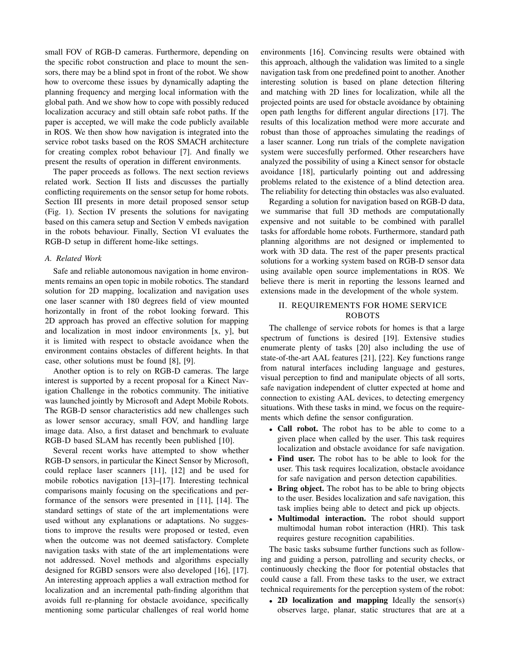small FOV of RGB-D cameras. Furthermore, depending on the specific robot construction and place to mount the sensors, there may be a blind spot in front of the robot. We show how to overcome these issues by dynamically adapting the planning frequency and merging local information with the global path. And we show how to cope with possibly reduced localization accuracy and still obtain safe robot paths. If the paper is accepted, we will make the code publicly available in ROS. We then show how navigation is integrated into the service robot tasks based on the ROS SMACH architecture for creating complex robot behaviour [7]. And finally we present the results of operation in different environments.

The paper proceeds as follows. The next section reviews related work. Section II lists and discusses the partially conflicting requirements on the sensor setup for home robots. Section III presents in more detail proposed sensor setup (Fig. 1). Section IV presents the solutions for navigating based on this camera setup and Section V embeds navigation in the robots behaviour. Finally, Section VI evaluates the RGB-D setup in different home-like settings.

#### *A. Related Work*

Safe and reliable autonomous navigation in home environments remains an open topic in mobile robotics. The standard solution for 2D mapping, localization and navigation uses one laser scanner with 180 degrees field of view mounted horizontally in front of the robot looking forward. This 2D approach has proved an effective solution for mapping and localization in most indoor environments [x, y], but it is limited with respect to obstacle avoidance when the environment contains obstacles of different heights. In that case, other solutions must be found [8], [9].

Another option is to rely on RGB-D cameras. The large interest is supported by a recent proposal for a Kinect Navigation Challenge in the robotics community. The initiative was launched jointly by Microsoft and Adept Mobile Robots. The RGB-D sensor characteristics add new challenges such as lower sensor accuracy, small FOV, and handling large image data. Also, a first dataset and benchmark to evaluate RGB-D based SLAM has recently been published [10].

Several recent works have attempted to show whether RGB-D sensors, in particular the Kinect Sensor by Microsoft, could replace laser scanners [11], [12] and be used for mobile robotics navigation [13]–[17]. Interesting technical comparisons mainly focusing on the specifications and performance of the sensors were presented in [11], [14]. The standard settings of state of the art implementations were used without any explanations or adaptations. No suggestions to improve the results were proposed or tested, even when the outcome was not deemed satisfactory. Complete navigation tasks with state of the art implementations were not addressed. Novel methods and algorithms especially designed for RGBD sensors were also developed [16], [17]. An interesting approach applies a wall extraction method for localization and an incremental path-finding algorithm that avoids full re-planning for obstacle avoidance, specifically mentioning some particular challenges of real world home

environments [16]. Convincing results were obtained with this approach, although the validation was limited to a single navigation task from one predefined point to another. Another interesting solution is based on plane detection filtering and matching with 2D lines for localization, while all the projected points are used for obstacle avoidance by obtaining open path lengths for different angular directions [17]. The results of this localization method were more accurate and robust than those of approaches simulating the readings of a laser scanner. Long run trials of the complete navigation system were succesfully performed. Other researchers have analyzed the possibility of using a Kinect sensor for obstacle avoidance [18], particularly pointing out and addressing problems related to the existence of a blind detection area. The reliability for detecting thin obstacles was also evaluated.

Regarding a solution for navigation based on RGB-D data, we summarise that full 3D methods are computationally expensive and not suitable to be combined with parallel tasks for affordable home robots. Furthermore, standard path planning algorithms are not designed or implemented to work with 3D data. The rest of the paper presents practical solutions for a working system based on RGB-D sensor data using available open source implementations in ROS. We believe there is merit in reporting the lessons learned and extensions made in the development of the whole system.

#### II. REQUIREMENTS FOR HOME SERVICE ROBOTS

The challenge of service robots for homes is that a large spectrum of functions is desired [19]. Extensive studies enumerate plenty of tasks [20] also including the use of state-of-the-art AAL features [21], [22]. Key functions range from natural interfaces including language and gestures, visual perception to find and manipulate objects of all sorts, safe navigation independent of clutter expected at home and connection to existing AAL devices, to detecting emergency situations. With these tasks in mind, we focus on the requirements which define the sensor configuration.

- Call robot. The robot has to be able to come to a given place when called by the user. This task requires localization and obstacle avoidance for safe navigation.
- Find user. The robot has to be able to look for the user. This task requires localization, obstacle avoidance for safe navigation and person detection capabilities.
- Bring object. The robot has to be able to bring objects to the user. Besides localization and safe navigation, this task implies being able to detect and pick up objects.
- Multimodal interaction. The robot should support multimodal human robot interaction (HRI). This task requires gesture recognition capabilities.

The basic tasks subsume further functions such as following and guiding a person, patrolling and security checks, or continuously checking the floor for potential obstacles that could cause a fall. From these tasks to the user, we extract technical requirements for the perception system of the robot:

• 2D localization and mapping Ideally the sensor(s) observes large, planar, static structures that are at a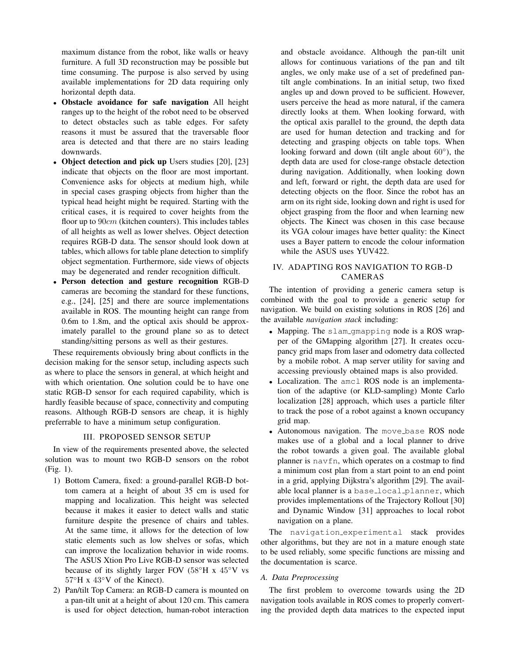maximum distance from the robot, like walls or heavy furniture. A full 3D reconstruction may be possible but time consuming. The purpose is also served by using available implementations for 2D data requiring only horizontal depth data.

- Obstacle avoidance for safe navigation All height ranges up to the height of the robot need to be observed to detect obstacles such as table edges. For safety reasons it must be assured that the traversable floor area is detected and that there are no stairs leading downwards.
- Object detection and pick up Users studies [20], [23] indicate that objects on the floor are most important. Convenience asks for objects at medium high, while in special cases grasping objects from higher than the typical head height might be required. Starting with the critical cases, it is required to cover heights from the floor up to  $90cm$  (kitchen counters). This includes tables of all heights as well as lower shelves. Object detection requires RGB-D data. The sensor should look down at tables, which allows for table plane detection to simplify object segmentation. Furthermore, side views of objects may be degenerated and render recognition difficult.
- Person detection and gesture recognition RGB-D cameras are becoming the standard for these functions, e.g., [24], [25] and there are source implementations available in ROS. The mounting height can range from 0.6m to 1.8m, and the optical axis should be approximately parallel to the ground plane so as to detect standing/sitting persons as well as their gestures.

These requirements obviously bring about conflicts in the decision making for the sensor setup, including aspects such as where to place the sensors in general, at which height and with which orientation. One solution could be to have one static RGB-D sensor for each required capability, which is hardly feasible because of space, connectivity and computing reasons. Although RGB-D sensors are cheap, it is highly preferrable to have a minimum setup configuration.

#### III. PROPOSED SENSOR SETUP

In view of the requirements presented above, the selected solution was to mount two RGB-D sensors on the robot (Fig. 1).

- 1) Bottom Camera, fixed: a ground-parallel RGB-D bottom camera at a height of about 35 cm is used for mapping and localization. This height was selected because it makes it easier to detect walls and static furniture despite the presence of chairs and tables. At the same time, it allows for the detection of low static elements such as low shelves or sofas, which can improve the localization behavior in wide rooms. The ASUS Xtion Pro Live RGB-D sensor was selected because of its slightly larger FOV (58◦H x 45◦V vs 57◦H x 43◦V of the Kinect).
- 2) Pan/tilt Top Camera: an RGB-D camera is mounted on a pan-tilt unit at a height of about 120 cm. This camera is used for object detection, human-robot interaction

and obstacle avoidance. Although the pan-tilt unit allows for continuous variations of the pan and tilt angles, we only make use of a set of predefined pantilt angle combinations. In an initial setup, two fixed angles up and down proved to be sufficient. However, users perceive the head as more natural, if the camera directly looks at them. When looking forward, with the optical axis parallel to the ground, the depth data are used for human detection and tracking and for detecting and grasping objects on table tops. When looking forward and down (tilt angle about  $60^{\circ}$ ), the depth data are used for close-range obstacle detection during navigation. Additionally, when looking down and left, forward or right, the depth data are used for detecting objects on the floor. Since the robot has an arm on its right side, looking down and right is used for object grasping from the floor and when learning new objects. The Kinect was chosen in this case because its VGA colour images have better quality: the Kinect uses a Bayer pattern to encode the colour information while the ASUS uses YUV422.

### IV. ADAPTING ROS NAVIGATION TO RGB-D CAMERAS

The intention of providing a generic camera setup is combined with the goal to provide a generic setup for navigation. We build on existing solutions in ROS [26] and the available *navigation stack* including:

- Mapping. The slam gmapping node is a ROS wrapper of the GMapping algorithm [27]. It creates occupancy grid maps from laser and odometry data collected by a mobile robot. A map server utility for saving and accessing previously obtained maps is also provided.
- Localization. The amcl ROS node is an implementation of the adaptive (or KLD-sampling) Monte Carlo localization [28] approach, which uses a particle filter to track the pose of a robot against a known occupancy grid map.
- Autonomous navigation. The move base ROS node makes use of a global and a local planner to drive the robot towards a given goal. The available global planner is navfn, which operates on a costmap to find a minimum cost plan from a start point to an end point in a grid, applying Dijkstra's algorithm [29]. The available local planner is a base local planner, which provides implementations of the Trajectory Rollout [30] and Dynamic Window [31] approaches to local robot navigation on a plane.

The navigation experimental stack provides other algorithms, but they are not in a mature enough state to be used reliably, some specific functions are missing and the documentation is scarce.

#### *A. Data Preprocessing*

The first problem to overcome towards using the 2D navigation tools available in ROS comes to properly converting the provided depth data matrices to the expected input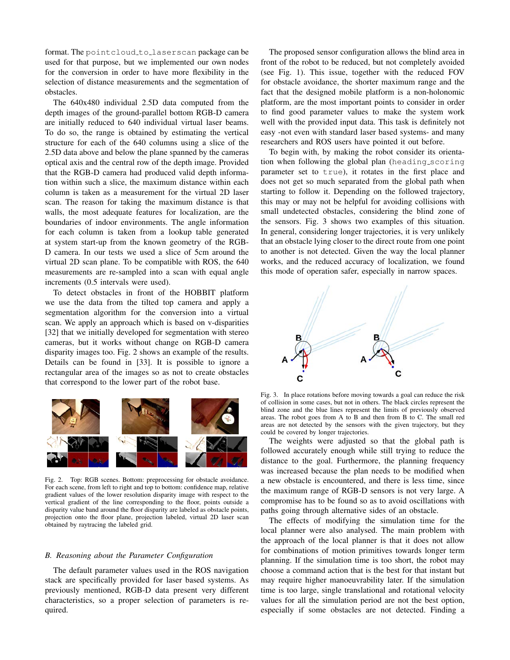format. The pointcloud to laserscan package can be used for that purpose, but we implemented our own nodes for the conversion in order to have more flexibility in the selection of distance measurements and the segmentation of obstacles.

The 640x480 individual 2.5D data computed from the depth images of the ground-parallel bottom RGB-D camera are initially reduced to 640 individual virtual laser beams. To do so, the range is obtained by estimating the vertical structure for each of the 640 columns using a slice of the 2.5D data above and below the plane spanned by the cameras optical axis and the central row of the depth image. Provided that the RGB-D camera had produced valid depth information within such a slice, the maximum distance within each column is taken as a measurement for the virtual 2D laser scan. The reason for taking the maximum distance is that walls, the most adequate features for localization, are the boundaries of indoor environments. The angle information for each column is taken from a lookup table generated at system start-up from the known geometry of the RGB-D camera. In our tests we used a slice of 5cm around the virtual 2D scan plane. To be compatible with ROS, the 640 measurements are re-sampled into a scan with equal angle increments (0.5 intervals were used).

To detect obstacles in front of the HOBBIT platform we use the data from the tilted top camera and apply a segmentation algorithm for the conversion into a virtual scan. We apply an approach which is based on v-disparities [32] that we initially developed for segmentation with stereo cameras, but it works without change on RGB-D camera disparity images too. Fig. 2 shows an example of the results. Details can be found in [33]. It is possible to ignore a rectangular area of the images so as not to create obstacles that correspond to the lower part of the robot base.



Fig. 2. Top: RGB scenes. Bottom: preprocessing for obstacle avoidance. For each scene, from left to right and top to bottom: confidence map, relative gradient values of the lower resolution disparity image with respect to the vertical gradient of the line corresponding to the floor, points outside a disparity value band around the floor disparity are labeled as obstacle points, projection onto the floor plane, projection labeled, virtual 2D laser scan obtained by raytracing the labeled grid.

#### *B. Reasoning about the Parameter Configuration*

The default parameter values used in the ROS navigation stack are specifically provided for laser based systems. As previously mentioned, RGB-D data present very different characteristics, so a proper selection of parameters is required.

The proposed sensor configuration allows the blind area in front of the robot to be reduced, but not completely avoided (see Fig. 1). This issue, together with the reduced FOV for obstacle avoidance, the shorter maximum range and the fact that the designed mobile platform is a non-holonomic platform, are the most important points to consider in order to find good parameter values to make the system work well with the provided input data. This task is definitely not easy -not even with standard laser based systems- and many researchers and ROS users have pointed it out before.

To begin with, by making the robot consider its orientation when following the global plan (heading scoring parameter set to true), it rotates in the first place and does not get so much separated from the global path when starting to follow it. Depending on the followed trajectory, this may or may not be helpful for avoiding collisions with small undetected obstacles, considering the blind zone of the sensors. Fig. 3 shows two examples of this situation. In general, considering longer trajectories, it is very unlikely that an obstacle lying closer to the direct route from one point to another is not detected. Given the way the local planner works, and the reduced accuracy of localization, we found this mode of operation safer, especially in narrow spaces.



Fig. 3. In place rotations before moving towards a goal can reduce the risk of collision in some cases, but not in others. The black circles represent the blind zone and the blue lines represent the limits of previously observed areas. The robot goes from A to B and then from B to C. The small red areas are not detected by the sensors with the given trajectory, but they could be covered by longer trajectories.

The weights were adjusted so that the global path is followed accurately enough while still trying to reduce the distance to the goal. Furthermore, the planning frequency was increased because the plan needs to be modified when a new obstacle is encountered, and there is less time, since the maximum range of RGB-D sensors is not very large. A compromise has to be found so as to avoid oscillations with paths going through alternative sides of an obstacle.

The effects of modifying the simulation time for the local planner were also analysed. The main problem with the approach of the local planner is that it does not allow for combinations of motion primitives towards longer term planning. If the simulation time is too short, the robot may choose a command action that is the best for that instant but may require higher manoeuvrability later. If the simulation time is too large, single translational and rotational velocity values for all the simulation period are not the best option, especially if some obstacles are not detected. Finding a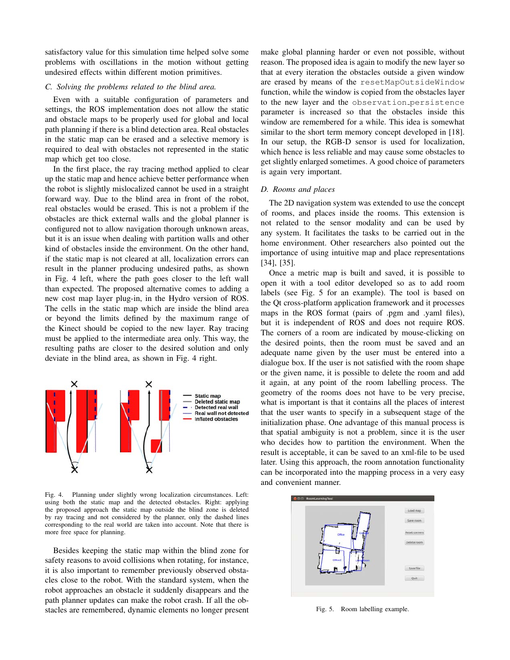satisfactory value for this simulation time helped solve some problems with oscillations in the motion without getting undesired effects within different motion primitives.

#### *C. Solving the problems related to the blind area.*

Even with a suitable configuration of parameters and settings, the ROS implementation does not allow the static and obstacle maps to be properly used for global and local path planning if there is a blind detection area. Real obstacles in the static map can be erased and a selective memory is required to deal with obstacles not represented in the static map which get too close.

In the first place, the ray tracing method applied to clear up the static map and hence achieve better performance when the robot is slightly mislocalized cannot be used in a straight forward way. Due to the blind area in front of the robot, real obstacles would be erased. This is not a problem if the obstacles are thick external walls and the global planner is configured not to allow navigation thorough unknown areas, but it is an issue when dealing with partition walls and other kind of obstacles inside the environment. On the other hand, if the static map is not cleared at all, localization errors can result in the planner producing undesired paths, as shown in Fig. 4 left, where the path goes closer to the left wall than expected. The proposed alternative comes to adding a new cost map layer plug-in, in the Hydro version of ROS. The cells in the static map which are inside the blind area or beyond the limits defined by the maximum range of the Kinect should be copied to the new layer. Ray tracing must be applied to the intermediate area only. This way, the resulting paths are closer to the desired solution and only deviate in the blind area, as shown in Fig. 4 right.



Fig. 4. Planning under slightly wrong localization circumstances. Left: using both the static map and the detected obstacles. Right: applying the proposed approach the static map outside the blind zone is deleted by ray tracing and not considered by the planner, only the dashed lines corresponding to the real world are taken into account. Note that there is more free space for planning.

Besides keeping the static map within the blind zone for safety reasons to avoid collisions when rotating, for instance, it is also important to remember previously observed obstacles close to the robot. With the standard system, when the robot approaches an obstacle it suddenly disappears and the path planner updates can make the robot crash. If all the obstacles are remembered, dynamic elements no longer present make global planning harder or even not possible, without reason. The proposed idea is again to modify the new layer so that at every iteration the obstacles outside a given window are erased by means of the resetMapOutsideWindow function, while the window is copied from the obstacles layer to the new layer and the observation persistence parameter is increased so that the obstacles inside this window are remembered for a while. This idea is somewhat similar to the short term memory concept developed in [18]. In our setup, the RGB-D sensor is used for localization, which hence is less reliable and may cause some obstacles to get slightly enlarged sometimes. A good choice of parameters is again very important.

#### *D. Rooms and places*

The 2D navigation system was extended to use the concept of rooms, and places inside the rooms. This extension is not related to the sensor modality and can be used by any system. It facilitates the tasks to be carried out in the home environment. Other researchers also pointed out the importance of using intuitive map and place representations [34], [35].

Once a metric map is built and saved, it is possible to open it with a tool editor developed so as to add room labels (see Fig. 5 for an example). The tool is based on the Qt cross-platform application framework and it processes maps in the ROS format (pairs of .pgm and .yaml files), but it is independent of ROS and does not require ROS. The corners of a room are indicated by mouse-clicking on the desired points, then the room must be saved and an adequate name given by the user must be entered into a dialogue box. If the user is not satisfied with the room shape or the given name, it is possible to delete the room and add it again, at any point of the room labelling process. The geometry of the rooms does not have to be very precise, what is important is that it contains all the places of interest that the user wants to specify in a subsequent stage of the initialization phase. One advantage of this manual process is that spatial ambiguity is not a problem, since it is the user who decides how to partition the environment. When the result is acceptable, it can be saved to an xml-file to be used later. Using this approach, the room annotation functionality can be incorporated into the mapping process in a very easy and convenient manner.



Fig. 5. Room labelling example.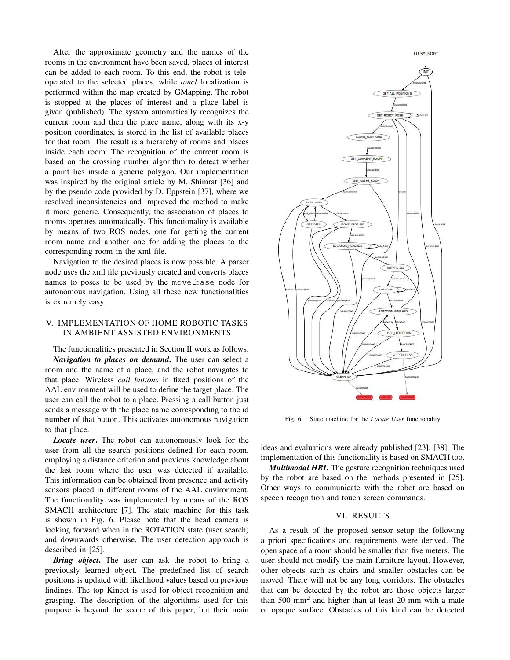After the approximate geometry and the names of the rooms in the environment have been saved, places of interest can be added to each room. To this end, the robot is teleoperated to the selected places, while *amcl* localization is performed within the map created by GMapping. The robot is stopped at the places of interest and a place label is given (published). The system automatically recognizes the current room and then the place name, along with its x-y position coordinates, is stored in the list of available places for that room. The result is a hierarchy of rooms and places inside each room. The recognition of the current room is based on the crossing number algorithm to detect whether a point lies inside a generic polygon. Our implementation was inspired by the original article by M. Shimrat [36] and by the pseudo code provided by D. Eppstein [37], where we resolved inconsistencies and improved the method to make it more generic. Consequently, the association of places to rooms operates automatically. This functionality is available by means of two ROS nodes, one for getting the current room name and another one for adding the places to the corresponding room in the xml file.

Navigation to the desired places is now possible. A parser node uses the xml file previously created and converts places names to poses to be used by the move base node for autonomous navigation. Using all these new functionalities is extremely easy.

#### V. IMPLEMENTATION OF HOME ROBOTIC TASKS IN AMBIENT ASSISTED ENVIRONMENTS

The functionalities presented in Section II work as follows.

*Navigation to places on demand*. The user can select a room and the name of a place, and the robot navigates to that place. Wireless *call buttons* in fixed positions of the AAL environment will be used to define the target place. The user can call the robot to a place. Pressing a call button just sends a message with the place name corresponding to the id number of that button. This activates autonomous navigation to that place.

*Locate user*. The robot can autonomously look for the user from all the search positions defined for each room, employing a distance criterion and previous knowledge about the last room where the user was detected if available. This information can be obtained from presence and activity sensors placed in different rooms of the AAL environment. The functionality was implemented by means of the ROS SMACH architecture [7]. The state machine for this task is shown in Fig. 6. Please note that the head camera is looking forward when in the ROTATION state (user search) and downwards otherwise. The user detection approach is described in [25].

*Bring object*. The user can ask the robot to bring a previously learned object. The predefined list of search positions is updated with likelihood values based on previous findings. The top Kinect is used for object recognition and grasping. The description of the algorithms used for this purpose is beyond the scope of this paper, but their main



Fig. 6. State machine for the *Locate User* functionality

ideas and evaluations were already published [23], [38]. The implementation of this functionality is based on SMACH too.

*Multimodal HRI*. The gesture recognition techniques used by the robot are based on the methods presented in [25]. Other ways to communicate with the robot are based on speech recognition and touch screen commands.

#### VI. RESULTS

As a result of the proposed sensor setup the following a priori specifications and requirements were derived. The open space of a room should be smaller than five meters. The user should not modify the main furniture layout. However, other objects such as chairs and smaller obstacles can be moved. There will not be any long corridors. The obstacles that can be detected by the robot are those objects larger than  $500 \text{ mm}^2$  and higher than at least 20 mm with a mate or opaque surface. Obstacles of this kind can be detected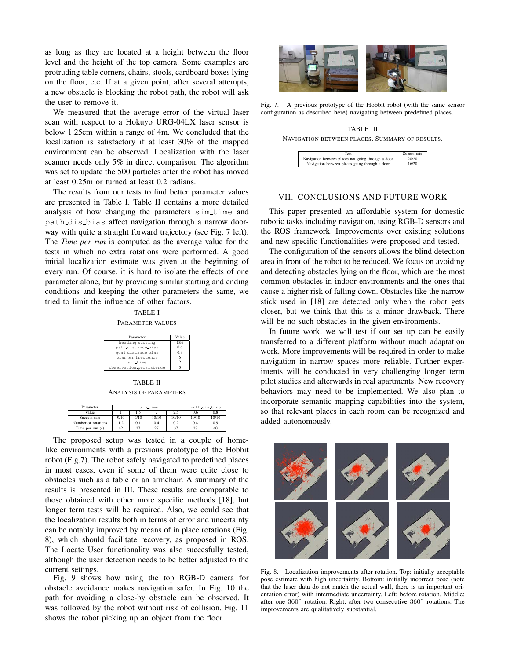as long as they are located at a height between the floor level and the height of the top camera. Some examples are protruding table corners, chairs, stools, cardboard boxes lying on the floor, etc. If at a given point, after several attempts, a new obstacle is blocking the robot path, the robot will ask the user to remove it.

We measured that the average error of the virtual laser scan with respect to a Hokuyo URG-04LX laser sensor is below 1.25cm within a range of 4m. We concluded that the localization is satisfactory if at least 30% of the mapped environment can be observed. Localization with the laser scanner needs only 5% in direct comparison. The algorithm was set to update the 500 particles after the robot has moved at least 0.25m or turned at least 0.2 radians.

The results from our tests to find better parameter values are presented in Table I. Table II contains a more detailed analysis of how changing the parameters sim time and path dis bias affect navigation through a narrow doorway with quite a straight forward trajectory (see Fig. 7 left). The *Time per run* is computed as the average value for the tests in which no extra rotations were performed. A good initial localization estimate was given at the beginning of every run. Of course, it is hard to isolate the effects of one parameter alone, but by providing similar starting and ending conditions and keeping the other parameters the same, we tried to limit the influence of other factors.

TABLE I PARAMETER VALUES

| Parameter       | Value |
|-----------------|-------|
| hoading ecoring | ттио  |

 $\Box$ 

| heading_scoring         | true. |
|-------------------------|-------|
| path_distance_bias      | 0.6   |
| qoal_distance_bias      | 0.8   |
| planner_frequency       | 5     |
| sim_time                | 2     |
| observation_persistence |       |
|                         |       |

TABLE II ANALYSIS OF PARAMETERS

| Parameter           | sim_time |      |       | path_dis_bias |       |       |
|---------------------|----------|------|-------|---------------|-------|-------|
| Value               |          |      |       |               | 0.6   | 0.8   |
| Success rate        | 9/10     | 9/10 | 10/10 | 10/10         | 10/10 | 10/10 |
| Number of rotations | 1.2      | 0.1  | 0.4   | 0.2           | 0.4   | 0.9   |
| Time per run $(s)$  | 42       |      | 27    | 27            | 27    |       |

The proposed setup was tested in a couple of homelike environments with a previous prototype of the Hobbit robot (Fig.7). The robot safely navigated to predefined places in most cases, even if some of them were quite close to obstacles such as a table or an armchair. A summary of the results is presented in III. These results are comparable to those obtained with other more specific methods [18], but longer term tests will be required. Also, we could see that the localization results both in terms of error and uncertainty can be notably improved by means of in place rotations (Fig. 8), which should facilitate recovery, as proposed in ROS. The Locate User functionality was also succesfully tested, although the user detection needs to be better adjusted to the current settings.

Fig. 9 shows how using the top RGB-D camera for obstacle avoidance makes navigation safer. In Fig. 10 the path for avoiding a close-by obstacle can be observed. It was followed by the robot without risk of collision. Fig. 11 shows the robot picking up an object from the floor.



Fig. 7. A previous prototype of the Hobbit robot (with the same sensor configuration as described here) navigating between predefined places.

TABLE III NAVIGATION BETWEEN PLACES. SUMMARY OF RESULTS.

| Test                                               | Succes rate |
|----------------------------------------------------|-------------|
| Navigation between places not going through a door | 20/20       |
| Navigation between places going through a door     | 16/20       |

### VII. CONCLUSIONS AND FUTURE WORK

This paper presented an affordable system for domestic robotic tasks including navigation, using RGB-D sensors and the ROS framework. Improvements over existing solutions and new specific functionalities were proposed and tested.

The configuration of the sensors allows the blind detection area in front of the robot to be reduced. We focus on avoiding and detecting obstacles lying on the floor, which are the most common obstacles in indoor environments and the ones that cause a higher risk of falling down. Obstacles like the narrow stick used in [18] are detected only when the robot gets closer, but we think that this is a minor drawback. There will be no such obstacles in the given environments.

In future work, we will test if our set up can be easily transferred to a different platform without much adaptation work. More improvements will be required in order to make navigation in narrow spaces more reliable. Further experiments will be conducted in very challenging longer term pilot studies and afterwards in real apartments. New recovery behaviors may need to be implemented. We also plan to incorporate semantic mapping capabilities into the system, so that relevant places in each room can be recognized and added autonomously.



Fig. 8. Localization improvements after rotation. Top: initially acceptable pose estimate with high uncertainty. Bottom: initially incorrect pose (note that the laser data do not match the actual wall, there is an important orientation error) with intermediate uncertainty. Left: before rotation. Middle: after one 360◦ rotation. Right: after two consecutive 360◦ rotations. The improvements are qualitatively substantial.